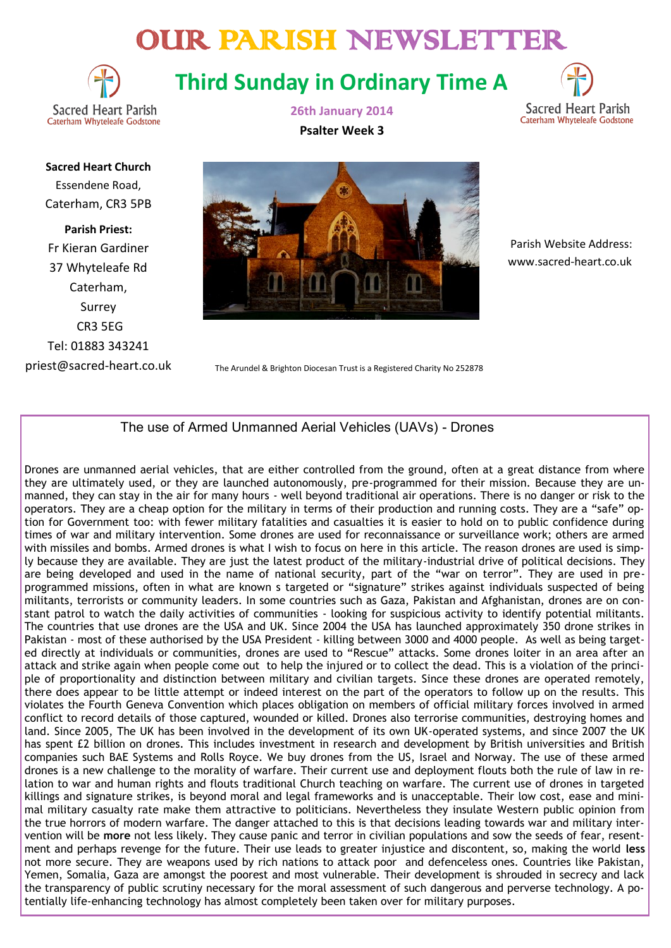# OUR PARISH NEWSLETTER



**Third Sunday in Ordinary Time A**



**Sacred Heart Church** Essendene Road, Caterham, CR3 5PB

**Parish Priest:** Fr Kieran Gardiner 37 Whyteleafe Rd Caterham, Surrey CR3 5EG Tel: 01883 343241 priest@sacred-heart.co.uk **26th January 2014 Psalter Week 3**



 Parish Website Address: www.sacred-heart.co.uk

The Arundel & Brighton Diocesan Trust is a Registered Charity No 252878

# The use of Armed Unmanned Aerial Vehicles (UAVs) - Drones

Drones are unmanned aerial vehicles, that are either controlled from the ground, often at a great distance from where they are ultimately used, or they are launched autonomously, pre-programmed for their mission. Because they are unmanned, they can stay in the air for many hours - well beyond traditional air operations. There is no danger or risk to the operators. They are a cheap option for the military in terms of their production and running costs. They are a "safe" option for Government too: with fewer military fatalities and casualties it is easier to hold on to public confidence during times of war and military intervention. Some drones are used for reconnaissance or surveillance work; others are armed with missiles and bombs. Armed drones is what I wish to focus on here in this article. The reason drones are used is simply because they are available. They are just the latest product of the military-industrial drive of political decisions. They are being developed and used in the name of national security, part of the "war on terror". They are used in preprogrammed missions, often in what are known s targeted or "signature" strikes against individuals suspected of being militants, terrorists or community leaders. In some countries such as Gaza, Pakistan and Afghanistan, drones are on constant patrol to watch the daily activities of communities - looking for suspicious activity to identify potential militants. The countries that use drones are the USA and UK. Since 2004 the USA has launched approximately 350 drone strikes in Pakistan - most of these authorised by the USA President - killing between 3000 and 4000 people. As well as being targeted directly at individuals or communities, drones are used to "Rescue" attacks. Some drones loiter in an area after an attack and strike again when people come out to help the injured or to collect the dead. This is a violation of the principle of proportionality and distinction between military and civilian targets. Since these drones are operated remotely, there does appear to be little attempt or indeed interest on the part of the operators to follow up on the results. This violates the Fourth Geneva Convention which places obligation on members of official military forces involved in armed conflict to record details of those captured, wounded or killed. Drones also terrorise communities, destroying homes and land. Since 2005, The UK has been involved in the development of its own UK-operated systems, and since 2007 the UK has spent £2 billion on drones. This includes investment in research and development by British universities and British companies such BAE Systems and Rolls Royce. We buy drones from the US, Israel and Norway. The use of these armed drones is a new challenge to the morality of warfare. Their current use and deployment flouts both the rule of law in relation to war and human rights and flouts traditional Church teaching on warfare. The current use of drones in targeted killings and signature strikes, is beyond moral and legal frameworks and is unacceptable. Their low cost, ease and minimal military casualty rate make them attractive to politicians. Nevertheless they insulate Western public opinion from the true horrors of modern warfare. The danger attached to this is that decisions leading towards war and military intervention will be **more** not less likely. They cause panic and terror in civilian populations and sow the seeds of fear, resentment and perhaps revenge for the future. Their use leads to greater injustice and discontent, so, making the world **less**  not more secure. They are weapons used by rich nations to attack poor and defenceless ones. Countries like Pakistan, Yemen, Somalia, Gaza are amongst the poorest and most vulnerable. Their development is shrouded in secrecy and lack the transparency of public scrutiny necessary for the moral assessment of such dangerous and perverse technology. A potentially life-enhancing technology has almost completely been taken over for military purposes.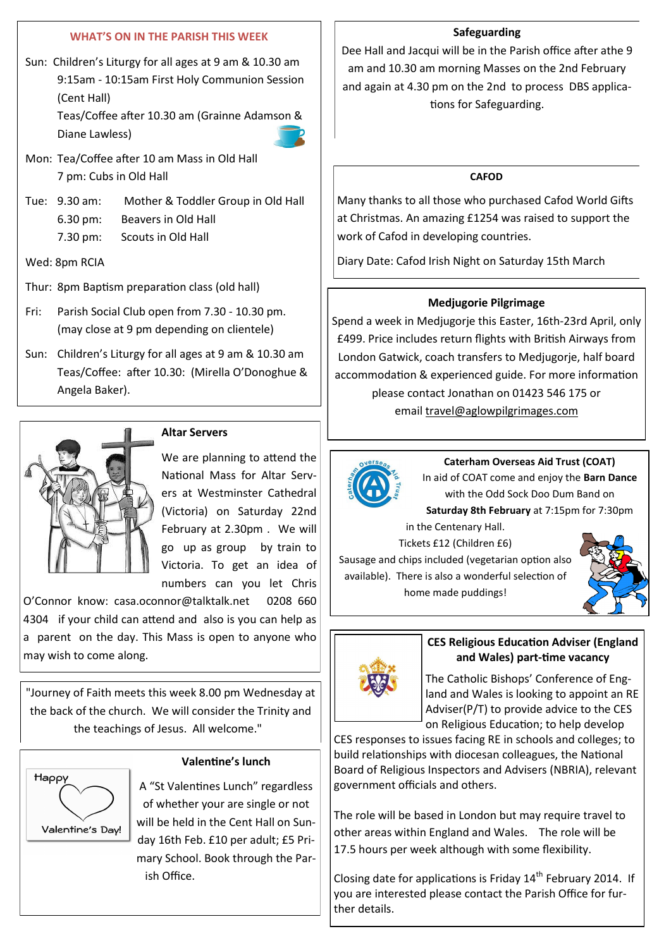# **WHAT'S ON IN THE PARISH THIS WEEK**

Sun: Children's Liturgy for all ages at 9 am & 10.30 am 9:15am - 10:15am First Holy Communion Session (Cent Hall)

> Teas/Coffee after 10.30 am (Grainne Adamson & Diane Lawless)



- Mon: Tea/Coffee after 10 am Mass in Old Hall 7 pm: Cubs in Old Hall
- Tue: 9.30 am: Mother & Toddler Group in Old Hall 6.30 pm: Beavers in Old Hall 7.30 pm: Scouts in Old Hall
- Wed: 8pm RCIA
- Thur: 8pm Baptism preparation class (old hall)
- Fri: Parish Social Club open from 7.30 10.30 pm. (may close at 9 pm depending on clientele)
- Sun: Children's Liturgy for all ages at 9 am & 10.30 am Teas/Coffee: after 10.30: (Mirella O'Donoghue & Angela Baker).



# **Altar Servers**

We are planning to attend the National Mass for Altar Servers at Westminster Cathedral (Victoria) on Saturday 22nd February at 2.30pm . We will go up as group by train to Victoria. To get an idea of numbers can you let Chris

O'Connor know: casa.oconnor@talktalk.net 0208 660 4304 if your child can attend and also is you can help as a parent on the day. This Mass is open to anyone who may wish to come along.

"Journey of Faith meets this week 8.00 pm Wednesday at the back of the church. We will consider the Trinity and the teachings of Jesus. All welcome."



**Valentine's lunch**

A "St Valentines Lunch" regardless of whether your are single or not will be held in the Cent Hall on Sunday 16th Feb. £10 per adult; £5 Primary School. Book through the Parish Office.

#### **Safeguarding**

Dee Hall and Jacqui will be in the Parish office after athe 9 am and 10.30 am morning Masses on the 2nd February and again at 4.30 pm on the 2nd to process DBS applications for Safeguarding.

# **CAFOD**

Many thanks to all those who purchased Cafod World Gifts at Christmas. An amazing £1254 was raised to support the work of Cafod in developing countries.

Diary Date: Cafod Irish Night on Saturday 15th March

# **Medjugorie Pilgrimage**

Spend a week in Medjugorje this Easter, 16th-23rd April, only £499. Price includes return flights with British Airways from London Gatwick, coach transfers to Medjugorje, half board accommodation & experienced guide. For more information please contact Jonathan on 01423 546 175 or email [travel@aglowpilgrimages.com](mailto:travel@aglowpilgrimages.com)



**Caterham Overseas Aid Trust (COAT)** In aid of COAT come and enjoy the **Barn Dance**  with the Odd Sock Doo Dum Band on

**Saturday 8th February** at 7:15pm for 7:30pm in the Centenary Hall.

Tickets £12 (Children £6) Sausage and chips included (vegetarian option also

available). There is also a wonderful selection of home made puddings!





# **CES Religious Education Adviser (England and Wales) part-time vacancy**

The Catholic Bishops' Conference of England and Wales is looking to appoint an RE Adviser(P/T) to provide advice to the CES on Religious Education; to help develop

CES responses to issues facing RE in schools and colleges; to build relationships with diocesan colleagues, the National Board of Religious Inspectors and Advisers (NBRIA), relevant government officials and others.

The role will be based in London but may require travel to other areas within England and Wales. The role will be 17.5 hours per week although with some flexibility.

Closing date for applications is Friday  $14<sup>th</sup>$  February 2014. If you are interested please contact the Parish Office for further details.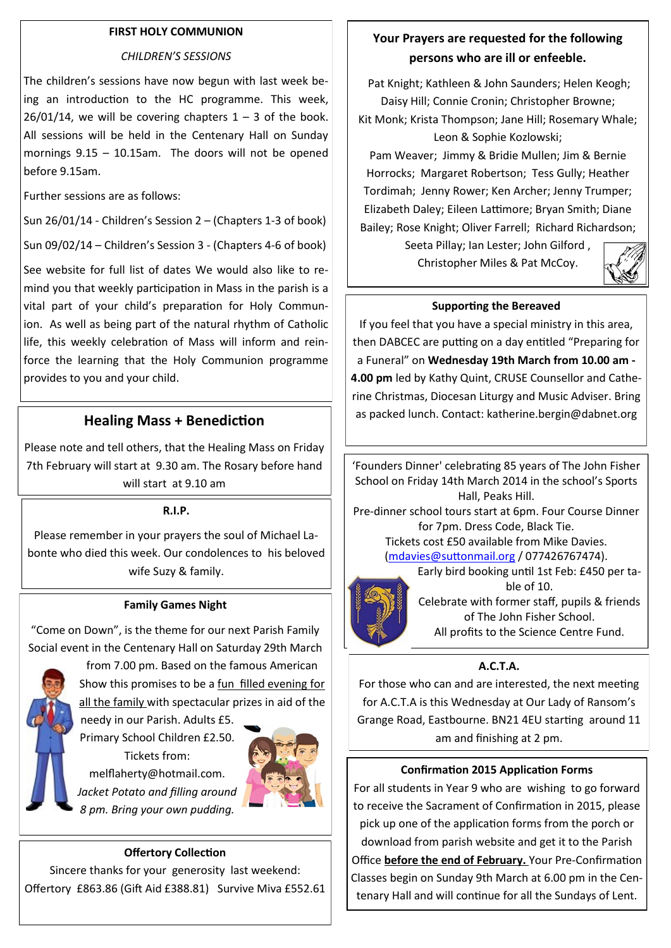# **FIRST HOLY COMMUNION**

#### *CHILDREN'S SESSIONS*

The children's sessions have now begun with last week being an introduction to the HC programme. This week,  $26/01/14$ , we will be covering chapters  $1 - 3$  of the book. All sessions will be held in the Centenary Hall on Sunday mornings 9.15 – 10.15am. The doors will not be opened before 9.15am.

Further sessions are as follows:

Sun 26/01/14 - Children's Session 2 – (Chapters 1-3 of book)

Sun 09/02/14 – Children's Session 3 - (Chapters 4-6 of book)

See website for full list of dates We would also like to remind you that weekly participation in Mass in the parish is a vital part of your child's preparation for Holy Communion. As well as being part of the natural rhythm of Catholic life, this weekly celebration of Mass will inform and reinforce the learning that the Holy Communion programme provides to you and your child.

# **Healing Mass + Benediction**

Please note and tell others, that the Healing Mass on Friday 7th February will start at 9.30 am. The Rosary before hand will start at 9.10 am

#### **R.I.P.**

Please remember in your prayers the soul of Michael Labonte who died this week. Our condolences to his beloved wife Suzy & family.

#### **Family Games Night**

"Come on Down", is the theme for our next Parish Family Social event in the Centenary Hall on Saturday 29th March



from 7.00 pm. Based on the famous American Show this promises to be a fun filled evening for all the family with spectacular prizes in aid of the

needy in our Parish. Adults £5. Primary School Children £2.50. Tickets from: melflaherty@hotmail.com. *Jacket Potato and filling around 8 pm. Bring your own pudding.* 



#### **Offertory Collection**

Sincere thanks for your generosity last weekend: Offertory £863.86 (Gift Aid £388.81) Survive Miva £552.61

# **Your Prayers are requested for the following persons who are ill or enfeeble.**

Pat Knight; Kathleen & John Saunders; Helen Keogh; Daisy Hill; Connie Cronin; Christopher Browne; Kit Monk; Krista Thompson; Jane Hill; Rosemary Whale; Leon & Sophie Kozlowski;

Pam Weaver; Jimmy & Bridie Mullen; Jim & Bernie Horrocks; Margaret Robertson; Tess Gully; Heather Tordimah; Jenny Rower; Ken Archer; Jenny Trumper; Elizabeth Daley; Eileen Lattimore; Bryan Smith; Diane Bailey; Rose Knight; Oliver Farrell; Richard Richardson;

> Seeta Pillay; Ian Lester; John Gilford , Christopher Miles & Pat McCoy.



# **Supporting the Bereaved**

If you feel that you have a special ministry in this area, then DABCEC are putting on a day entitled "Preparing for a Funeral" on **Wednesday 19th March from 10.00 am - 4.00 pm** led by Kathy Quint, CRUSE Counsellor and Catherine Christmas, Diocesan Liturgy and Music Adviser. Bring as packed lunch. Contact: katherine.bergin@dabnet.org

'Founders Dinner' celebrating 85 years of The John Fisher School on Friday 14th March 2014 in the school's Sports Hall, Peaks Hill. Pre-dinner school tours start at 6pm. Four Course Dinner for 7pm. Dress Code, Black Tie. Tickets cost £50 available from Mike Davies. ([mdavies@suttonmail.org](mailto:mdavies@suttonmail.org) / 077426767474). Early bird booking until 1st Feb: £450 per ta-



ble of 10. Celebrate with former staff, pupils & friends of The John Fisher School. All profits to the Science Centre Fund.

# **A.C.T.A.**

For those who can and are interested, the next meeting for A.C.T.A is this Wednesday at Our Lady of Ransom's Grange Road, Eastbourne. BN21 4EU starting around 11 am and finishing at 2 pm.

#### **Confirmation 2015 Application Forms**

For all students in Year 9 who are wishing to go forward to receive the Sacrament of Confirmation in 2015, please pick up one of the application forms from the porch or download from parish website and get it to the Parish Office **before the end of February.** Your Pre-Confirmation Classes begin on Sunday 9th March at 6.00 pm in the Centenary Hall and will continue for all the Sundays of Lent.